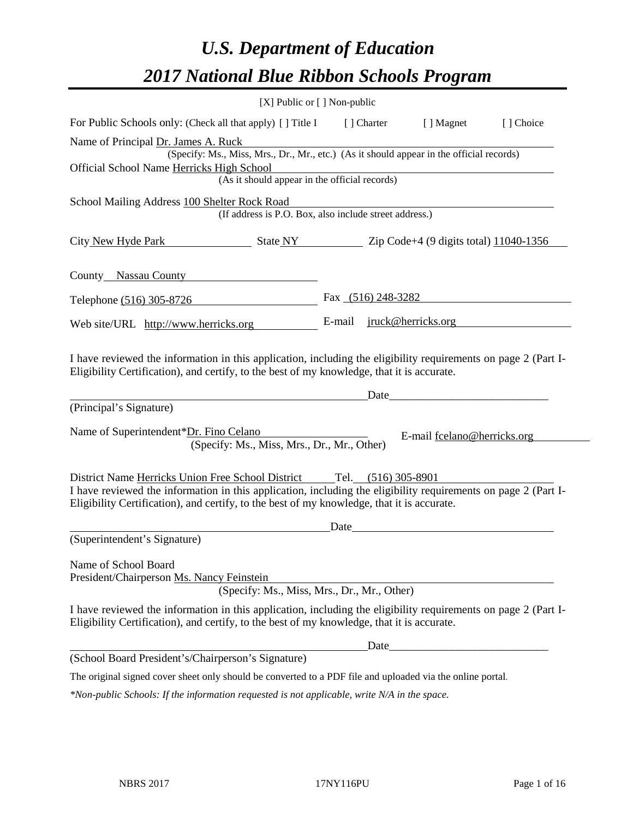# *U.S. Department of Education 2017 National Blue Ribbon Schools Program*

| [X] Public or [] Non-public                                                                                                                                                                                  |                                  |                                                                                                                                                                                                                               |           |
|--------------------------------------------------------------------------------------------------------------------------------------------------------------------------------------------------------------|----------------------------------|-------------------------------------------------------------------------------------------------------------------------------------------------------------------------------------------------------------------------------|-----------|
| For Public Schools only: (Check all that apply) [ ] Title I                                                                                                                                                  | [ ] Charter                      | [ ] Magnet                                                                                                                                                                                                                    | [] Choice |
| Name of Principal Dr. James A. Ruck                                                                                                                                                                          |                                  |                                                                                                                                                                                                                               |           |
| (Specify: Ms., Miss, Mrs., Dr., Mr., etc.) (As it should appear in the official records)                                                                                                                     |                                  |                                                                                                                                                                                                                               |           |
| Official School Name Herricks High School<br>(As it should appear in the official records)                                                                                                                   |                                  |                                                                                                                                                                                                                               |           |
|                                                                                                                                                                                                              |                                  |                                                                                                                                                                                                                               |           |
| School Mailing Address 100 Shelter Rock Road                                                                                                                                                                 |                                  |                                                                                                                                                                                                                               |           |
| (If address is P.O. Box, also include street address.)                                                                                                                                                       |                                  |                                                                                                                                                                                                                               |           |
| City New Hyde Park State NY 2ip Code+4 (9 digits total) 11040-1356                                                                                                                                           |                                  |                                                                                                                                                                                                                               |           |
| County Nassau County                                                                                                                                                                                         |                                  |                                                                                                                                                                                                                               |           |
| Telephone (516) 305-8726                                                                                                                                                                                     | Fax $(516)$ 248-3282             |                                                                                                                                                                                                                               |           |
| Web site/URL http://www.herricks.org                                                                                                                                                                         | E-mail <u>jruck@herricks.org</u> |                                                                                                                                                                                                                               |           |
| Eligibility Certification), and certify, to the best of my knowledge, that it is accurate.<br>(Principal's Signature)                                                                                        |                                  | Date and the same state of the same state of the same state of the same state of the same state of the same state of the same state of the same state of the same state of the same state of the same state of the same state |           |
|                                                                                                                                                                                                              |                                  |                                                                                                                                                                                                                               |           |
| Name of Superintendent*Dr. Fino Celano<br>(Specify: Ms., Miss, Mrs., Dr., Mr., Other)                                                                                                                        |                                  | E-mail fcelano@herricks.org                                                                                                                                                                                                   |           |
| District Name Herricks Union Free School District Tel. (516) 305-8901                                                                                                                                        |                                  |                                                                                                                                                                                                                               |           |
| I have reviewed the information in this application, including the eligibility requirements on page 2 (Part I-<br>Eligibility Certification), and certify, to the best of my knowledge, that it is accurate. |                                  |                                                                                                                                                                                                                               |           |
|                                                                                                                                                                                                              | Date                             |                                                                                                                                                                                                                               |           |
| (Superintendent's Signature)                                                                                                                                                                                 |                                  |                                                                                                                                                                                                                               |           |
| Name of School Board                                                                                                                                                                                         |                                  |                                                                                                                                                                                                                               |           |
| President/Chairperson Ms. Nancy Feinstein<br>(Specify: Ms., Miss, Mrs., Dr., Mr., Other)                                                                                                                     |                                  |                                                                                                                                                                                                                               |           |
| I have reviewed the information in this application, including the eligibility requirements on page 2 (Part I-<br>Eligibility Certification), and certify, to the best of my knowledge, that it is accurate. |                                  |                                                                                                                                                                                                                               |           |
|                                                                                                                                                                                                              | Date_                            |                                                                                                                                                                                                                               |           |
| (School Board President's/Chairperson's Signature)                                                                                                                                                           |                                  |                                                                                                                                                                                                                               |           |
| The original signed cover sheet only should be converted to a PDF file and uploaded via the online portal.                                                                                                   |                                  |                                                                                                                                                                                                                               |           |
| *Non-public Schools: If the information requested is not applicable, write N/A in the space.                                                                                                                 |                                  |                                                                                                                                                                                                                               |           |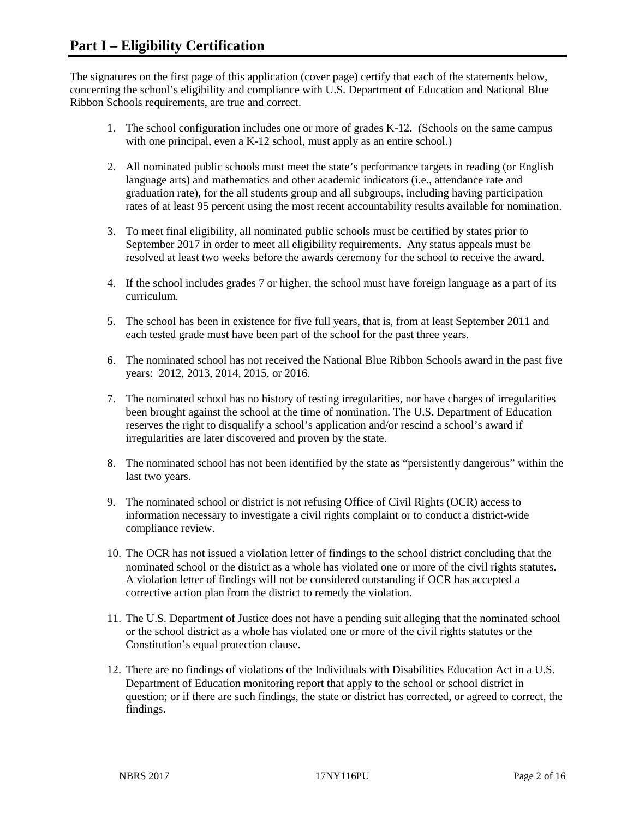The signatures on the first page of this application (cover page) certify that each of the statements below, concerning the school's eligibility and compliance with U.S. Department of Education and National Blue Ribbon Schools requirements, are true and correct.

- 1. The school configuration includes one or more of grades K-12. (Schools on the same campus with one principal, even a K-12 school, must apply as an entire school.)
- 2. All nominated public schools must meet the state's performance targets in reading (or English language arts) and mathematics and other academic indicators (i.e., attendance rate and graduation rate), for the all students group and all subgroups, including having participation rates of at least 95 percent using the most recent accountability results available for nomination.
- 3. To meet final eligibility, all nominated public schools must be certified by states prior to September 2017 in order to meet all eligibility requirements. Any status appeals must be resolved at least two weeks before the awards ceremony for the school to receive the award.
- 4. If the school includes grades 7 or higher, the school must have foreign language as a part of its curriculum.
- 5. The school has been in existence for five full years, that is, from at least September 2011 and each tested grade must have been part of the school for the past three years.
- 6. The nominated school has not received the National Blue Ribbon Schools award in the past five years: 2012, 2013, 2014, 2015, or 2016.
- 7. The nominated school has no history of testing irregularities, nor have charges of irregularities been brought against the school at the time of nomination. The U.S. Department of Education reserves the right to disqualify a school's application and/or rescind a school's award if irregularities are later discovered and proven by the state.
- 8. The nominated school has not been identified by the state as "persistently dangerous" within the last two years.
- 9. The nominated school or district is not refusing Office of Civil Rights (OCR) access to information necessary to investigate a civil rights complaint or to conduct a district-wide compliance review.
- 10. The OCR has not issued a violation letter of findings to the school district concluding that the nominated school or the district as a whole has violated one or more of the civil rights statutes. A violation letter of findings will not be considered outstanding if OCR has accepted a corrective action plan from the district to remedy the violation.
- 11. The U.S. Department of Justice does not have a pending suit alleging that the nominated school or the school district as a whole has violated one or more of the civil rights statutes or the Constitution's equal protection clause.
- 12. There are no findings of violations of the Individuals with Disabilities Education Act in a U.S. Department of Education monitoring report that apply to the school or school district in question; or if there are such findings, the state or district has corrected, or agreed to correct, the findings.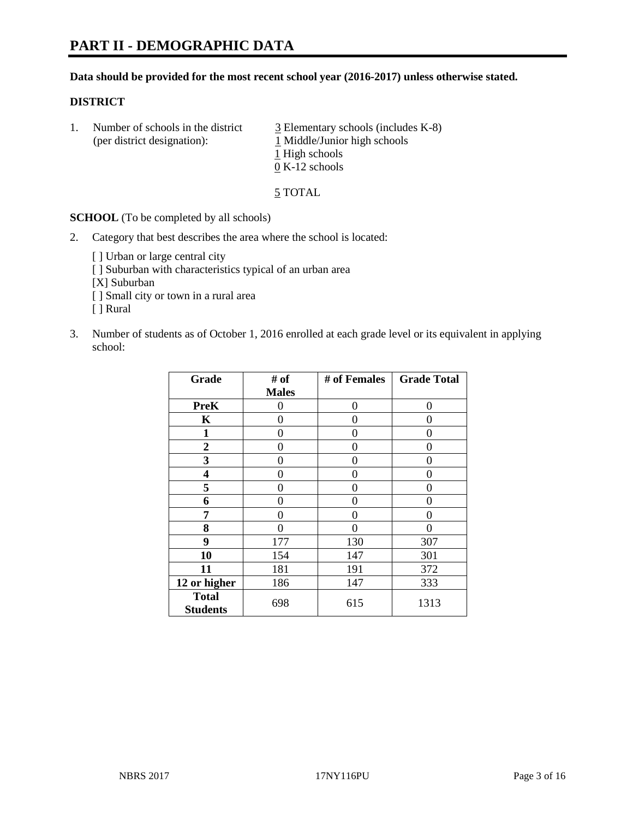#### **Data should be provided for the most recent school year (2016-2017) unless otherwise stated.**

#### **DISTRICT**

1. Number of schools in the district  $\frac{3}{2}$  Elementary schools (includes K-8) (per district designation): 1 Middle/Junior high schools 1 High schools 0 K-12 schools

5 TOTAL

**SCHOOL** (To be completed by all schools)

- 2. Category that best describes the area where the school is located:
	- [] Urban or large central city [ ] Suburban with characteristics typical of an urban area [X] Suburban [ ] Small city or town in a rural area [ ] Rural
- 3. Number of students as of October 1, 2016 enrolled at each grade level or its equivalent in applying school:

| Grade                           | # of         | # of Females | <b>Grade Total</b> |
|---------------------------------|--------------|--------------|--------------------|
|                                 | <b>Males</b> |              |                    |
| <b>PreK</b>                     | 0            | 0            | 0                  |
| $\mathbf K$                     | 0            | 0            | 0                  |
| 1                               | 0            | 0            | 0                  |
| $\overline{2}$                  | 0            | 0            | 0                  |
| 3                               | 0            | 0            | 0                  |
| 4                               | 0            | 0            | $\mathbf{\Omega}$  |
| 5                               | 0            | 0            | 0                  |
| 6                               | 0            | 0            | 0                  |
| 7                               | 0            | 0            | 0                  |
| 8                               | 0            | 0            | 0                  |
| 9                               | 177          | 130          | 307                |
| 10                              | 154          | 147          | 301                |
| 11                              | 181          | 191          | 372                |
| 12 or higher                    | 186          | 147          | 333                |
| <b>Total</b><br><b>Students</b> | 698          | 615          | 1313               |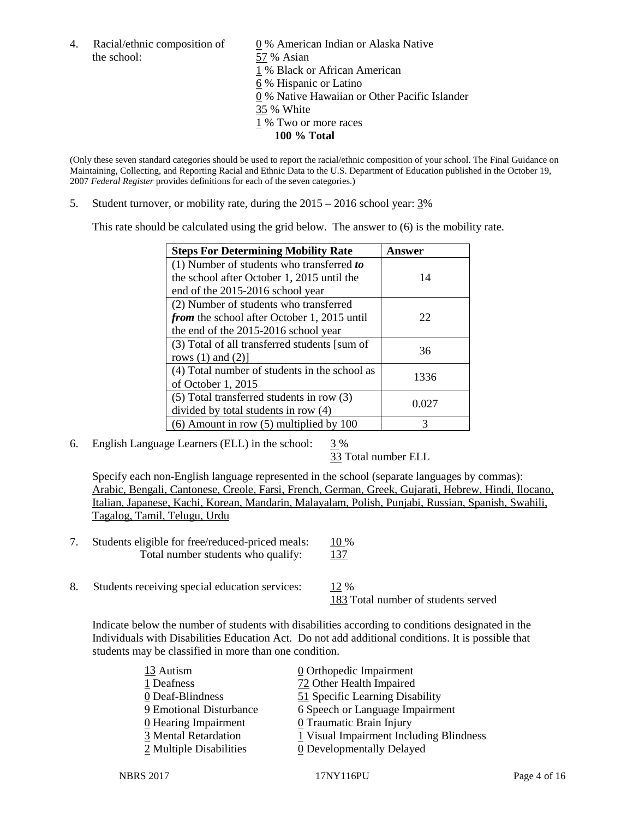the school: 57 % Asian

4. Racial/ethnic composition of  $\qquad 0 \%$  American Indian or Alaska Native 1 % Black or African American 6 % Hispanic or Latino 0 % Native Hawaiian or Other Pacific Islander 35 % White 1 % Two or more races **100 % Total**

(Only these seven standard categories should be used to report the racial/ethnic composition of your school. The Final Guidance on Maintaining, Collecting, and Reporting Racial and Ethnic Data to the U.S. Department of Education published in the October 19, 2007 *Federal Register* provides definitions for each of the seven categories.)

5. Student turnover, or mobility rate, during the 2015 – 2016 school year: 3%

This rate should be calculated using the grid below. The answer to (6) is the mobility rate.

| <b>Steps For Determining Mobility Rate</b>         | Answer |  |
|----------------------------------------------------|--------|--|
| (1) Number of students who transferred to          |        |  |
| the school after October 1, 2015 until the         | 14     |  |
| end of the 2015-2016 school year                   |        |  |
| (2) Number of students who transferred             |        |  |
| <i>from</i> the school after October 1, 2015 until | 22     |  |
| the end of the 2015-2016 school year               |        |  |
| (3) Total of all transferred students [sum of      | 36     |  |
| rows $(1)$ and $(2)$ ]                             |        |  |
| (4) Total number of students in the school as      | 1336   |  |
| of October 1, 2015                                 |        |  |
| $(5)$ Total transferred students in row $(3)$      | 0.027  |  |
| divided by total students in row (4)               |        |  |
| $(6)$ Amount in row $(5)$ multiplied by 100        | 3      |  |

6. English Language Learners (ELL) in the school:  $3\%$ 

33 Total number ELL

Specify each non-English language represented in the school (separate languages by commas): Arabic, Bengali, Cantonese, Creole, Farsi, French, German, Greek, Gujarati, Hebrew, Hindi, Ilocano, Italian, Japanese, Kachi, Korean, Mandarin, Malayalam, Polish, Punjabi, Russian, Spanish, Swahili, Tagalog, Tamil, Telugu, Urdu

- 7. Students eligible for free/reduced-priced meals: 10 % Total number students who qualify: 137
- 8. Students receiving special education services: 12 % 183 Total number of students served

Indicate below the number of students with disabilities according to conditions designated in the Individuals with Disabilities Education Act. Do not add additional conditions. It is possible that students may be classified in more than one condition.

| $\underline{0}$ Orthopedic Impairment   |
|-----------------------------------------|
| 72 Other Health Impaired                |
| 51 Specific Learning Disability         |
| 6 Speech or Language Impairment         |
| 0 Traumatic Brain Injury                |
| 1 Visual Impairment Including Blindness |
| 0 Developmentally Delayed               |
|                                         |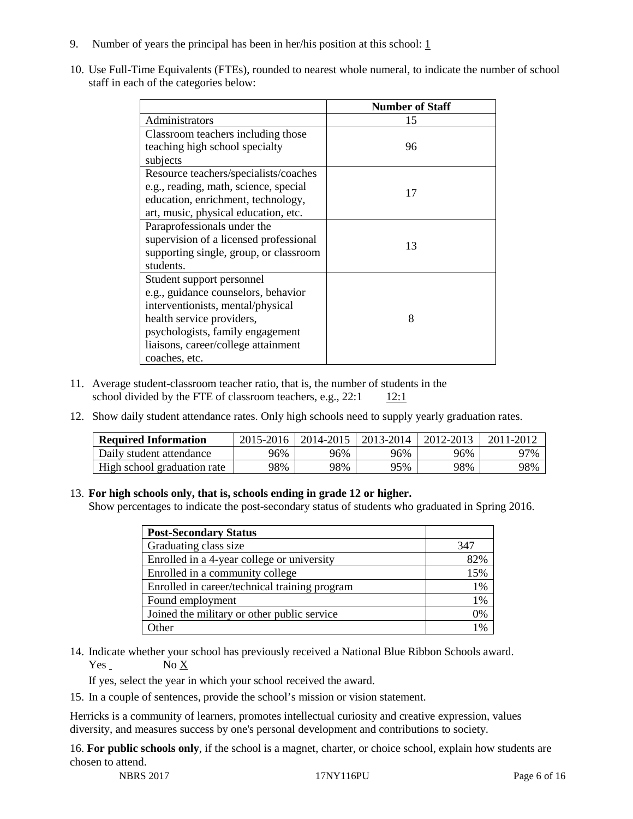- 9. Number of years the principal has been in her/his position at this school:  $1$
- 10. Use Full-Time Equivalents (FTEs), rounded to nearest whole numeral, to indicate the number of school staff in each of the categories below:

|                                        | <b>Number of Staff</b> |
|----------------------------------------|------------------------|
| Administrators                         | 15                     |
| Classroom teachers including those     |                        |
| teaching high school specialty         | 96                     |
| subjects                               |                        |
| Resource teachers/specialists/coaches  |                        |
| e.g., reading, math, science, special  | 17                     |
| education, enrichment, technology,     |                        |
| art, music, physical education, etc.   |                        |
| Paraprofessionals under the            |                        |
| supervision of a licensed professional | 13                     |
| supporting single, group, or classroom |                        |
| students.                              |                        |
| Student support personnel              |                        |
| e.g., guidance counselors, behavior    |                        |
| interventionists, mental/physical      |                        |
| health service providers,              | 8                      |
| psychologists, family engagement       |                        |
| liaisons, career/college attainment    |                        |
| coaches, etc.                          |                        |

- 11. Average student-classroom teacher ratio, that is, the number of students in the school divided by the FTE of classroom teachers, e.g.,  $22:1 \t12:1$
- 12. Show daily student attendance rates. Only high schools need to supply yearly graduation rates.

| <b>Required Information</b> | 2015-2016 | 2014-2015 | 2013-2014 | 2012-2013 | 2011-2012 |
|-----------------------------|-----------|-----------|-----------|-----------|-----------|
| Daily student attendance    | 96%       | 96%       | 96%       | 96%       | 97%       |
| High school graduation rate | 98%       | 98%       | 95%       | 98%       | 98%       |

#### 13. **For high schools only, that is, schools ending in grade 12 or higher.**

Show percentages to indicate the post-secondary status of students who graduated in Spring 2016.

| <b>Post-Secondary Status</b>                  |               |
|-----------------------------------------------|---------------|
| Graduating class size                         | 347           |
| Enrolled in a 4-year college or university    | 82%           |
| Enrolled in a community college               | 15%           |
| Enrolled in career/technical training program | $1\%$         |
| Found employment                              | $1\%$         |
| Joined the military or other public service   | 0%            |
| )ther                                         | $\frac{0}{0}$ |

14. Indicate whether your school has previously received a National Blue Ribbon Schools award. Yes No X

If yes, select the year in which your school received the award.

15. In a couple of sentences, provide the school's mission or vision statement.

Herricks is a community of learners, promotes intellectual curiosity and creative expression, values diversity, and measures success by one's personal development and contributions to society.

16. **For public schools only**, if the school is a magnet, charter, or choice school, explain how students are chosen to attend.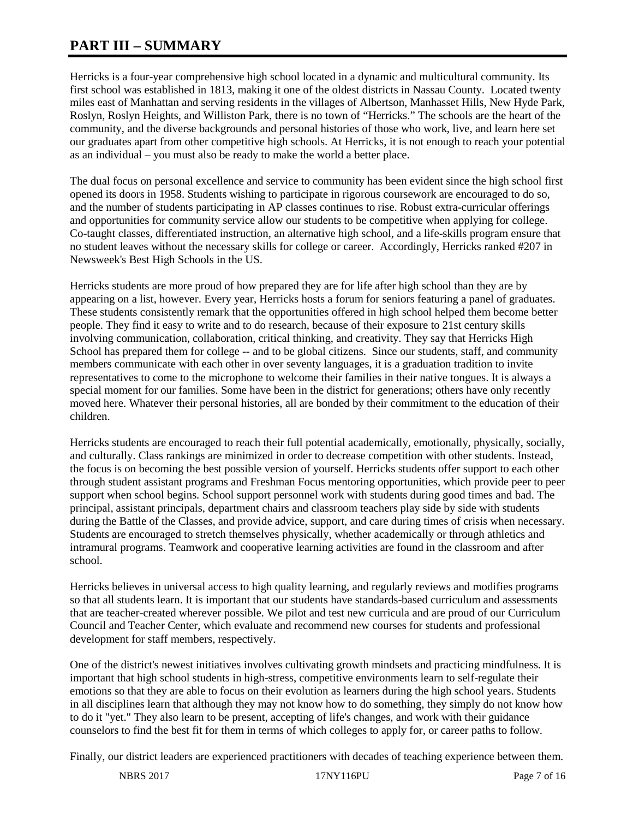# **PART III – SUMMARY**

Herricks is a four-year comprehensive high school located in a dynamic and multicultural community. Its first school was established in 1813, making it one of the oldest districts in Nassau County. Located twenty miles east of Manhattan and serving residents in the villages of Albertson, Manhasset Hills, New Hyde Park, Roslyn, Roslyn Heights, and Williston Park, there is no town of "Herricks." The schools are the heart of the community, and the diverse backgrounds and personal histories of those who work, live, and learn here set our graduates apart from other competitive high schools. At Herricks, it is not enough to reach your potential as an individual – you must also be ready to make the world a better place.

The dual focus on personal excellence and service to community has been evident since the high school first opened its doors in 1958. Students wishing to participate in rigorous coursework are encouraged to do so, and the number of students participating in AP classes continues to rise. Robust extra-curricular offerings and opportunities for community service allow our students to be competitive when applying for college. Co-taught classes, differentiated instruction, an alternative high school, and a life-skills program ensure that no student leaves without the necessary skills for college or career. Accordingly, Herricks ranked #207 in Newsweek's Best High Schools in the US.

Herricks students are more proud of how prepared they are for life after high school than they are by appearing on a list, however. Every year, Herricks hosts a forum for seniors featuring a panel of graduates. These students consistently remark that the opportunities offered in high school helped them become better people. They find it easy to write and to do research, because of their exposure to 21st century skills involving communication, collaboration, critical thinking, and creativity. They say that Herricks High School has prepared them for college -- and to be global citizens. Since our students, staff, and community members communicate with each other in over seventy languages, it is a graduation tradition to invite representatives to come to the microphone to welcome their families in their native tongues. It is always a special moment for our families. Some have been in the district for generations; others have only recently moved here. Whatever their personal histories, all are bonded by their commitment to the education of their children.

Herricks students are encouraged to reach their full potential academically, emotionally, physically, socially, and culturally. Class rankings are minimized in order to decrease competition with other students. Instead, the focus is on becoming the best possible version of yourself. Herricks students offer support to each other through student assistant programs and Freshman Focus mentoring opportunities, which provide peer to peer support when school begins. School support personnel work with students during good times and bad. The principal, assistant principals, department chairs and classroom teachers play side by side with students during the Battle of the Classes, and provide advice, support, and care during times of crisis when necessary. Students are encouraged to stretch themselves physically, whether academically or through athletics and intramural programs. Teamwork and cooperative learning activities are found in the classroom and after school.

Herricks believes in universal access to high quality learning, and regularly reviews and modifies programs so that all students learn. It is important that our students have standards-based curriculum and assessments that are teacher-created wherever possible. We pilot and test new curricula and are proud of our Curriculum Council and Teacher Center, which evaluate and recommend new courses for students and professional development for staff members, respectively.

One of the district's newest initiatives involves cultivating growth mindsets and practicing mindfulness. It is important that high school students in high-stress, competitive environments learn to self-regulate their emotions so that they are able to focus on their evolution as learners during the high school years. Students in all disciplines learn that although they may not know how to do something, they simply do not know how to do it "yet." They also learn to be present, accepting of life's changes, and work with their guidance counselors to find the best fit for them in terms of which colleges to apply for, or career paths to follow.

Finally, our district leaders are experienced practitioners with decades of teaching experience between them.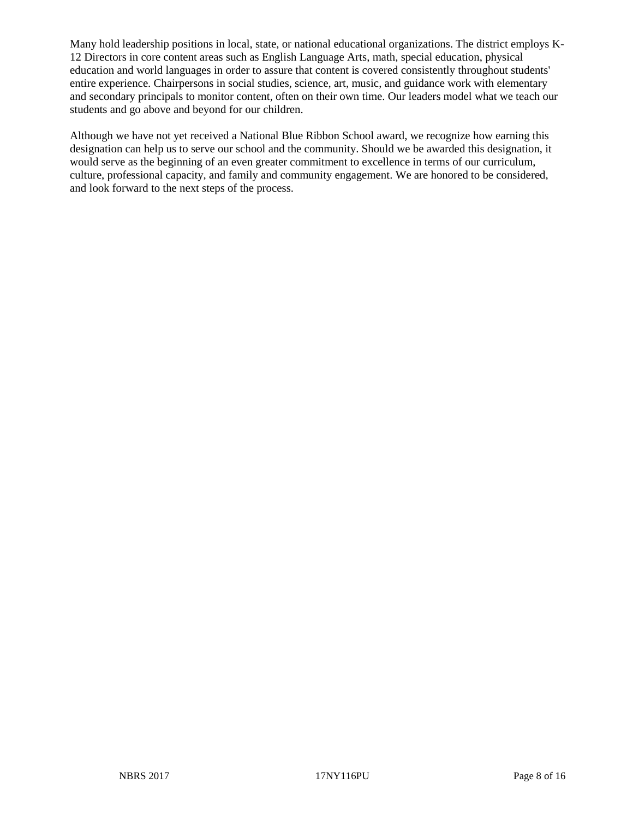Many hold leadership positions in local, state, or national educational organizations. The district employs K-12 Directors in core content areas such as English Language Arts, math, special education, physical education and world languages in order to assure that content is covered consistently throughout students' entire experience. Chairpersons in social studies, science, art, music, and guidance work with elementary and secondary principals to monitor content, often on their own time. Our leaders model what we teach our students and go above and beyond for our children.

Although we have not yet received a National Blue Ribbon School award, we recognize how earning this designation can help us to serve our school and the community. Should we be awarded this designation, it would serve as the beginning of an even greater commitment to excellence in terms of our curriculum, culture, professional capacity, and family and community engagement. We are honored to be considered, and look forward to the next steps of the process.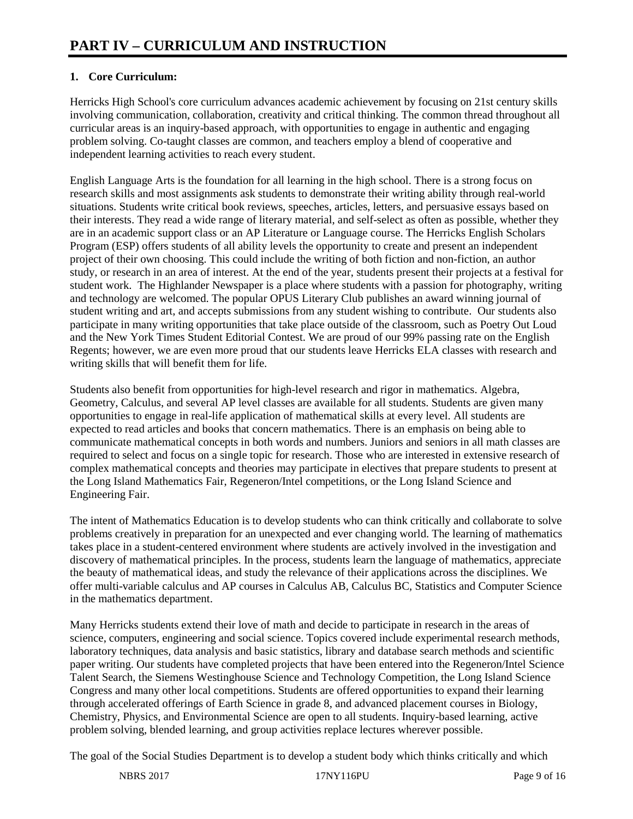# **1. Core Curriculum:**

Herricks High School's core curriculum advances academic achievement by focusing on 21st century skills involving communication, collaboration, creativity and critical thinking. The common thread throughout all curricular areas is an inquiry-based approach, with opportunities to engage in authentic and engaging problem solving. Co-taught classes are common, and teachers employ a blend of cooperative and independent learning activities to reach every student.

English Language Arts is the foundation for all learning in the high school. There is a strong focus on research skills and most assignments ask students to demonstrate their writing ability through real-world situations. Students write critical book reviews, speeches, articles, letters, and persuasive essays based on their interests. They read a wide range of literary material, and self-select as often as possible, whether they are in an academic support class or an AP Literature or Language course. The Herricks English Scholars Program (ESP) offers students of all ability levels the opportunity to create and present an independent project of their own choosing. This could include the writing of both fiction and non-fiction, an author study, or research in an area of interest. At the end of the year, students present their projects at a festival for student work. The Highlander Newspaper is a place where students with a passion for photography, writing and technology are welcomed. The popular OPUS Literary Club publishes an award winning journal of student writing and art, and accepts submissions from any student wishing to contribute. Our students also participate in many writing opportunities that take place outside of the classroom, such as Poetry Out Loud and the New York Times Student Editorial Contest. We are proud of our 99% passing rate on the English Regents; however, we are even more proud that our students leave Herricks ELA classes with research and writing skills that will benefit them for life.

Students also benefit from opportunities for high-level research and rigor in mathematics. Algebra, Geometry, Calculus, and several AP level classes are available for all students. Students are given many opportunities to engage in real-life application of mathematical skills at every level. All students are expected to read articles and books that concern mathematics. There is an emphasis on being able to communicate mathematical concepts in both words and numbers. Juniors and seniors in all math classes are required to select and focus on a single topic for research. Those who are interested in extensive research of complex mathematical concepts and theories may participate in electives that prepare students to present at the Long Island Mathematics Fair, Regeneron/Intel competitions, or the Long Island Science and Engineering Fair.

The intent of Mathematics Education is to develop students who can think critically and collaborate to solve problems creatively in preparation for an unexpected and ever changing world. The learning of mathematics takes place in a student-centered environment where students are actively involved in the investigation and discovery of mathematical principles. In the process, students learn the language of mathematics, appreciate the beauty of mathematical ideas, and study the relevance of their applications across the disciplines. We offer multi-variable calculus and AP courses in Calculus AB, Calculus BC, Statistics and Computer Science in the mathematics department.

Many Herricks students extend their love of math and decide to participate in research in the areas of science, computers, engineering and social science. Topics covered include experimental research methods, laboratory techniques, data analysis and basic statistics, library and database search methods and scientific paper writing. Our students have completed projects that have been entered into the Regeneron/Intel Science Talent Search, the Siemens Westinghouse Science and Technology Competition, the Long Island Science Congress and many other local competitions. Students are offered opportunities to expand their learning through accelerated offerings of Earth Science in grade 8, and advanced placement courses in Biology, Chemistry, Physics, and Environmental Science are open to all students. Inquiry-based learning, active problem solving, blended learning, and group activities replace lectures wherever possible.

The goal of the Social Studies Department is to develop a student body which thinks critically and which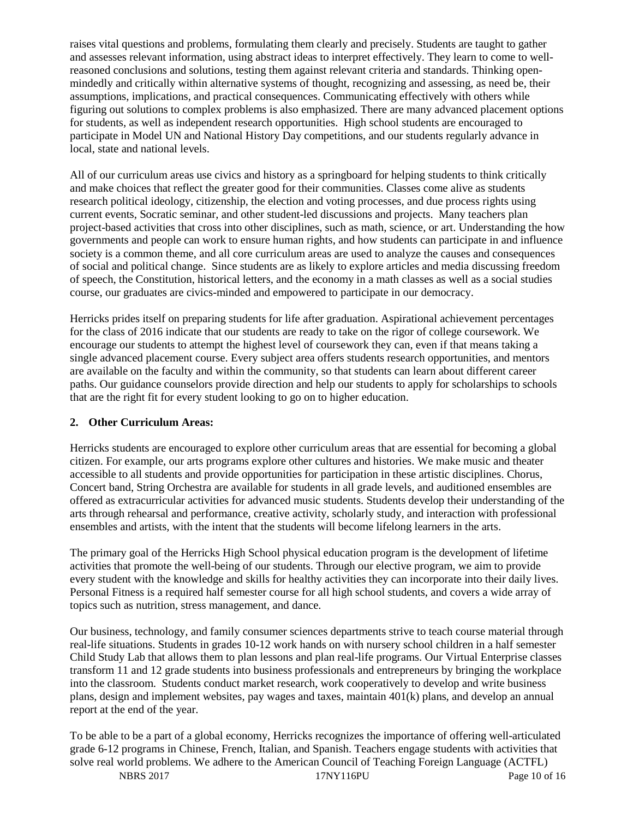raises vital questions and problems, formulating them clearly and precisely. Students are taught to gather and assesses relevant information, using abstract ideas to interpret effectively. They learn to come to wellreasoned conclusions and solutions, testing them against relevant criteria and standards. Thinking openmindedly and critically within alternative systems of thought, recognizing and assessing, as need be, their assumptions, implications, and practical consequences. Communicating effectively with others while figuring out solutions to complex problems is also emphasized. There are many advanced placement options for students, as well as independent research opportunities. High school students are encouraged to participate in Model UN and National History Day competitions, and our students regularly advance in local, state and national levels.

All of our curriculum areas use civics and history as a springboard for helping students to think critically and make choices that reflect the greater good for their communities. Classes come alive as students research political ideology, citizenship, the election and voting processes, and due process rights using current events, Socratic seminar, and other student-led discussions and projects. Many teachers plan project-based activities that cross into other disciplines, such as math, science, or art. Understanding the how governments and people can work to ensure human rights, and how students can participate in and influence society is a common theme, and all core curriculum areas are used to analyze the causes and consequences of social and political change. Since students are as likely to explore articles and media discussing freedom of speech, the Constitution, historical letters, and the economy in a math classes as well as a social studies course, our graduates are civics-minded and empowered to participate in our democracy.

Herricks prides itself on preparing students for life after graduation. Aspirational achievement percentages for the class of 2016 indicate that our students are ready to take on the rigor of college coursework. We encourage our students to attempt the highest level of coursework they can, even if that means taking a single advanced placement course. Every subject area offers students research opportunities, and mentors are available on the faculty and within the community, so that students can learn about different career paths. Our guidance counselors provide direction and help our students to apply for scholarships to schools that are the right fit for every student looking to go on to higher education.

# **2. Other Curriculum Areas:**

Herricks students are encouraged to explore other curriculum areas that are essential for becoming a global citizen. For example, our arts programs explore other cultures and histories. We make music and theater accessible to all students and provide opportunities for participation in these artistic disciplines. Chorus, Concert band, String Orchestra are available for students in all grade levels, and auditioned ensembles are offered as extracurricular activities for advanced music students. Students develop their understanding of the arts through rehearsal and performance, creative activity, scholarly study, and interaction with professional ensembles and artists, with the intent that the students will become lifelong learners in the arts.

The primary goal of the Herricks High School physical education program is the development of lifetime activities that promote the well-being of our students. Through our elective program, we aim to provide every student with the knowledge and skills for healthy activities they can incorporate into their daily lives. Personal Fitness is a required half semester course for all high school students, and covers a wide array of topics such as nutrition, stress management, and dance.

Our business, technology, and family consumer sciences departments strive to teach course material through real-life situations. Students in grades 10-12 work hands on with nursery school children in a half semester Child Study Lab that allows them to plan lessons and plan real-life programs. Our Virtual Enterprise classes transform 11 and 12 grade students into business professionals and entrepreneurs by bringing the workplace into the classroom. Students conduct market research, work cooperatively to develop and write business plans, design and implement websites, pay wages and taxes, maintain 401(k) plans, and develop an annual report at the end of the year.

NBRS 2017 17NY116PU Page 10 of 16 To be able to be a part of a global economy, Herricks recognizes the importance of offering well-articulated grade 6-12 programs in Chinese, French, Italian, and Spanish. Teachers engage students with activities that solve real world problems. We adhere to the American Council of Teaching Foreign Language (ACTFL)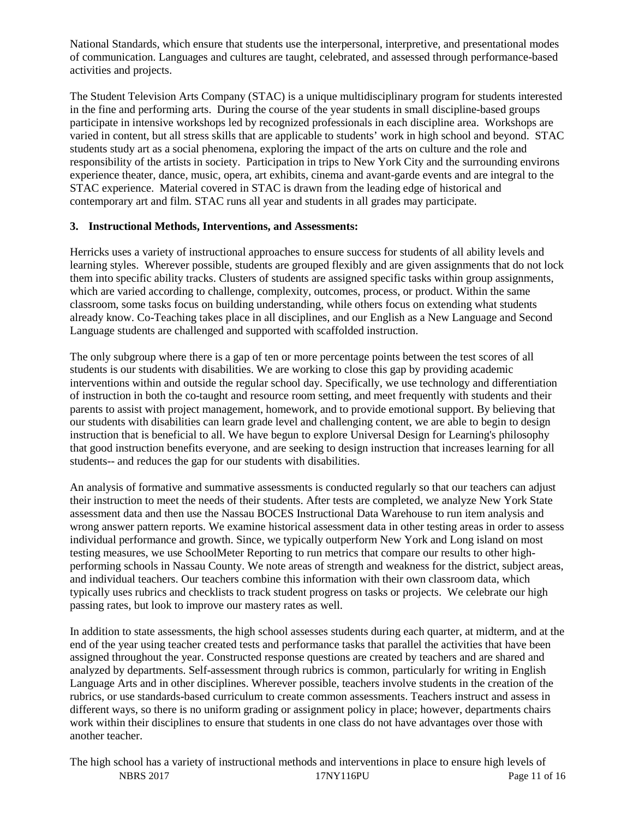National Standards, which ensure that students use the interpersonal, interpretive, and presentational modes of communication. Languages and cultures are taught, celebrated, and assessed through performance-based activities and projects.

The Student Television Arts Company (STAC) is a unique multidisciplinary program for students interested in the fine and performing arts. During the course of the year students in small discipline-based groups participate in intensive workshops led by recognized professionals in each discipline area. Workshops are varied in content, but all stress skills that are applicable to students' work in high school and beyond. STAC students study art as a social phenomena, exploring the impact of the arts on culture and the role and responsibility of the artists in society. Participation in trips to New York City and the surrounding environs experience theater, dance, music, opera, art exhibits, cinema and avant-garde events and are integral to the STAC experience. Material covered in STAC is drawn from the leading edge of historical and contemporary art and film. STAC runs all year and students in all grades may participate.

#### **3. Instructional Methods, Interventions, and Assessments:**

Herricks uses a variety of instructional approaches to ensure success for students of all ability levels and learning styles. Wherever possible, students are grouped flexibly and are given assignments that do not lock them into specific ability tracks. Clusters of students are assigned specific tasks within group assignments, which are varied according to challenge, complexity, outcomes, process, or product. Within the same classroom, some tasks focus on building understanding, while others focus on extending what students already know. Co-Teaching takes place in all disciplines, and our English as a New Language and Second Language students are challenged and supported with scaffolded instruction.

The only subgroup where there is a gap of ten or more percentage points between the test scores of all students is our students with disabilities. We are working to close this gap by providing academic interventions within and outside the regular school day. Specifically, we use technology and differentiation of instruction in both the co-taught and resource room setting, and meet frequently with students and their parents to assist with project management, homework, and to provide emotional support. By believing that our students with disabilities can learn grade level and challenging content, we are able to begin to design instruction that is beneficial to all. We have begun to explore Universal Design for Learning's philosophy that good instruction benefits everyone, and are seeking to design instruction that increases learning for all students-- and reduces the gap for our students with disabilities.

An analysis of formative and summative assessments is conducted regularly so that our teachers can adjust their instruction to meet the needs of their students. After tests are completed, we analyze New York State assessment data and then use the Nassau BOCES Instructional Data Warehouse to run item analysis and wrong answer pattern reports. We examine historical assessment data in other testing areas in order to assess individual performance and growth. Since, we typically outperform New York and Long island on most testing measures, we use SchoolMeter Reporting to run metrics that compare our results to other highperforming schools in Nassau County. We note areas of strength and weakness for the district, subject areas, and individual teachers. Our teachers combine this information with their own classroom data, which typically uses rubrics and checklists to track student progress on tasks or projects. We celebrate our high passing rates, but look to improve our mastery rates as well.

In addition to state assessments, the high school assesses students during each quarter, at midterm, and at the end of the year using teacher created tests and performance tasks that parallel the activities that have been assigned throughout the year. Constructed response questions are created by teachers and are shared and analyzed by departments. Self-assessment through rubrics is common, particularly for writing in English Language Arts and in other disciplines. Wherever possible, teachers involve students in the creation of the rubrics, or use standards-based curriculum to create common assessments. Teachers instruct and assess in different ways, so there is no uniform grading or assignment policy in place; however, departments chairs work within their disciplines to ensure that students in one class do not have advantages over those with another teacher.

NBRS 2017 17NY116PU Page 11 of 16 The high school has a variety of instructional methods and interventions in place to ensure high levels of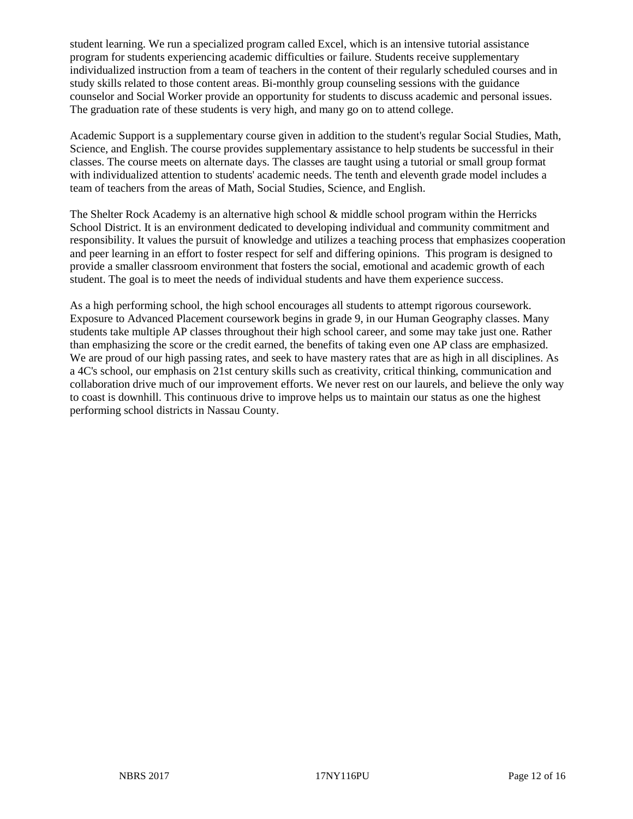student learning. We run a specialized program called Excel, which is an intensive tutorial assistance program for students experiencing academic difficulties or failure. Students receive supplementary individualized instruction from a team of teachers in the content of their regularly scheduled courses and in study skills related to those content areas. Bi-monthly group counseling sessions with the guidance counselor and Social Worker provide an opportunity for students to discuss academic and personal issues. The graduation rate of these students is very high, and many go on to attend college.

Academic Support is a supplementary course given in addition to the student's regular Social Studies, Math, Science, and English. The course provides supplementary assistance to help students be successful in their classes. The course meets on alternate days. The classes are taught using a tutorial or small group format with individualized attention to students' academic needs. The tenth and eleventh grade model includes a team of teachers from the areas of Math, Social Studies, Science, and English.

The Shelter Rock Academy is an alternative high school  $\&$  middle school program within the Herricks School District. It is an environment dedicated to developing individual and community commitment and responsibility. It values the pursuit of knowledge and utilizes a teaching process that emphasizes cooperation and peer learning in an effort to foster respect for self and differing opinions. This program is designed to provide a smaller classroom environment that fosters the social, emotional and academic growth of each student. The goal is to meet the needs of individual students and have them experience success.

As a high performing school, the high school encourages all students to attempt rigorous coursework. Exposure to Advanced Placement coursework begins in grade 9, in our Human Geography classes. Many students take multiple AP classes throughout their high school career, and some may take just one. Rather than emphasizing the score or the credit earned, the benefits of taking even one AP class are emphasized. We are proud of our high passing rates, and seek to have mastery rates that are as high in all disciplines. As a 4C's school, our emphasis on 21st century skills such as creativity, critical thinking, communication and collaboration drive much of our improvement efforts. We never rest on our laurels, and believe the only way to coast is downhill. This continuous drive to improve helps us to maintain our status as one the highest performing school districts in Nassau County.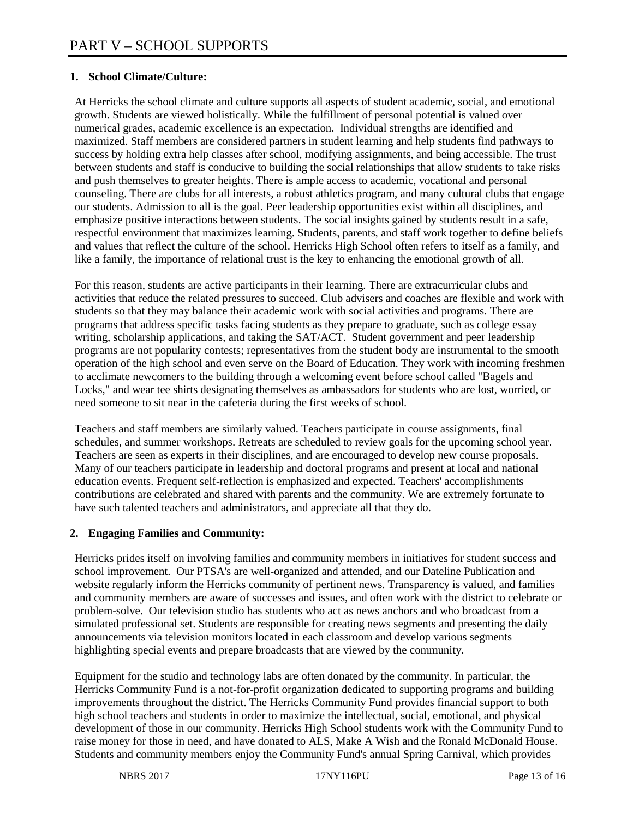### **1. School Climate/Culture:**

At Herricks the school climate and culture supports all aspects of student academic, social, and emotional growth. Students are viewed holistically. While the fulfillment of personal potential is valued over numerical grades, academic excellence is an expectation. Individual strengths are identified and maximized. Staff members are considered partners in student learning and help students find pathways to success by holding extra help classes after school, modifying assignments, and being accessible. The trust between students and staff is conducive to building the social relationships that allow students to take risks and push themselves to greater heights. There is ample access to academic, vocational and personal counseling. There are clubs for all interests, a robust athletics program, and many cultural clubs that engage our students. Admission to all is the goal. Peer leadership opportunities exist within all disciplines, and emphasize positive interactions between students. The social insights gained by students result in a safe, respectful environment that maximizes learning. Students, parents, and staff work together to define beliefs and values that reflect the culture of the school. Herricks High School often refers to itself as a family, and like a family, the importance of relational trust is the key to enhancing the emotional growth of all.

For this reason, students are active participants in their learning. There are extracurricular clubs and activities that reduce the related pressures to succeed. Club advisers and coaches are flexible and work with students so that they may balance their academic work with social activities and programs. There are programs that address specific tasks facing students as they prepare to graduate, such as college essay writing, scholarship applications, and taking the SAT/ACT. Student government and peer leadership programs are not popularity contests; representatives from the student body are instrumental to the smooth operation of the high school and even serve on the Board of Education. They work with incoming freshmen to acclimate newcomers to the building through a welcoming event before school called "Bagels and Locks," and wear tee shirts designating themselves as ambassadors for students who are lost, worried, or need someone to sit near in the cafeteria during the first weeks of school.

Teachers and staff members are similarly valued. Teachers participate in course assignments, final schedules, and summer workshops. Retreats are scheduled to review goals for the upcoming school year. Teachers are seen as experts in their disciplines, and are encouraged to develop new course proposals. Many of our teachers participate in leadership and doctoral programs and present at local and national education events. Frequent self-reflection is emphasized and expected. Teachers' accomplishments contributions are celebrated and shared with parents and the community. We are extremely fortunate to have such talented teachers and administrators, and appreciate all that they do.

#### **2. Engaging Families and Community:**

Herricks prides itself on involving families and community members in initiatives for student success and school improvement. Our PTSA's are well-organized and attended, and our Dateline Publication and website regularly inform the Herricks community of pertinent news. Transparency is valued, and families and community members are aware of successes and issues, and often work with the district to celebrate or problem-solve. Our television studio has students who act as news anchors and who broadcast from a simulated professional set. Students are responsible for creating news segments and presenting the daily announcements via television monitors located in each classroom and develop various segments highlighting special events and prepare broadcasts that are viewed by the community.

Equipment for the studio and technology labs are often donated by the community. In particular, the Herricks Community Fund is a not-for-profit organization dedicated to supporting programs and building improvements throughout the district. The Herricks Community Fund provides financial support to both high school teachers and students in order to maximize the intellectual, social, emotional, and physical development of those in our community. Herricks High School students work with the Community Fund to raise money for those in need, and have donated to ALS, Make A Wish and the Ronald McDonald House. Students and community members enjoy the Community Fund's annual Spring Carnival, which provides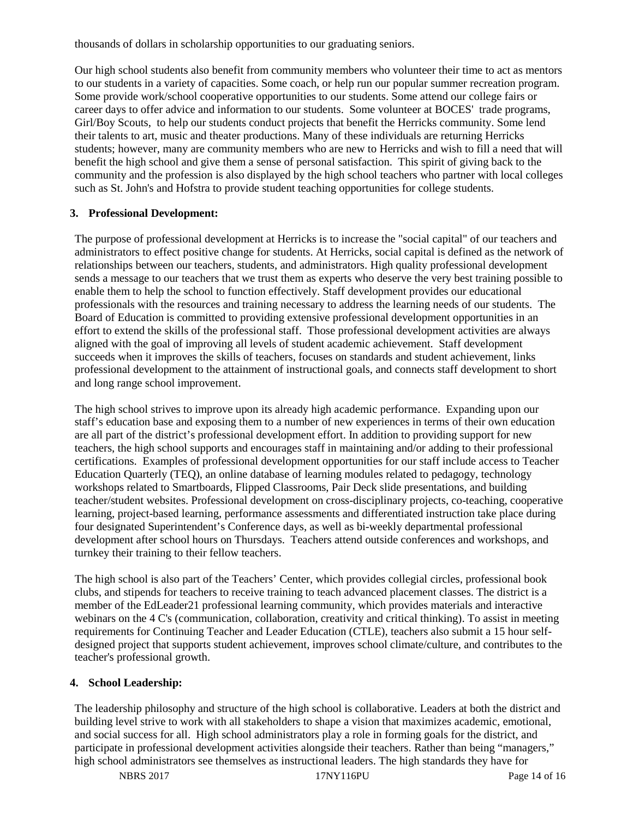thousands of dollars in scholarship opportunities to our graduating seniors.

Our high school students also benefit from community members who volunteer their time to act as mentors to our students in a variety of capacities. Some coach, or help run our popular summer recreation program. Some provide work/school cooperative opportunities to our students. Some attend our college fairs or career days to offer advice and information to our students. Some volunteer at BOCES' trade programs, Girl/Boy Scouts, to help our students conduct projects that benefit the Herricks community. Some lend their talents to art, music and theater productions. Many of these individuals are returning Herricks students; however, many are community members who are new to Herricks and wish to fill a need that will benefit the high school and give them a sense of personal satisfaction. This spirit of giving back to the community and the profession is also displayed by the high school teachers who partner with local colleges such as St. John's and Hofstra to provide student teaching opportunities for college students.

# **3. Professional Development:**

The purpose of professional development at Herricks is to increase the "social capital" of our teachers and administrators to effect positive change for students. At Herricks, social capital is defined as the network of relationships between our teachers, students, and administrators. High quality professional development sends a message to our teachers that we trust them as experts who deserve the very best training possible to enable them to help the school to function effectively. Staff development provides our educational professionals with the resources and training necessary to address the learning needs of our students. The Board of Education is committed to providing extensive professional development opportunities in an effort to extend the skills of the professional staff. Those professional development activities are always aligned with the goal of improving all levels of student academic achievement. Staff development succeeds when it improves the skills of teachers, focuses on standards and student achievement, links professional development to the attainment of instructional goals, and connects staff development to short and long range school improvement.

The high school strives to improve upon its already high academic performance. Expanding upon our staff's education base and exposing them to a number of new experiences in terms of their own education are all part of the district's professional development effort. In addition to providing support for new teachers, the high school supports and encourages staff in maintaining and/or adding to their professional certifications. Examples of professional development opportunities for our staff include access to Teacher Education Quarterly (TEQ), an online database of learning modules related to pedagogy, technology workshops related to Smartboards, Flipped Classrooms, Pair Deck slide presentations, and building teacher/student websites. Professional development on cross-disciplinary projects, co-teaching, cooperative learning, project-based learning, performance assessments and differentiated instruction take place during four designated Superintendent's Conference days, as well as bi-weekly departmental professional development after school hours on Thursdays. Teachers attend outside conferences and workshops, and turnkey their training to their fellow teachers.

The high school is also part of the Teachers' Center, which provides collegial circles, professional book clubs, and stipends for teachers to receive training to teach advanced placement classes. The district is a member of the EdLeader21 professional learning community, which provides materials and interactive webinars on the 4 C's (communication, collaboration, creativity and critical thinking). To assist in meeting requirements for Continuing Teacher and Leader Education (CTLE), teachers also submit a 15 hour selfdesigned project that supports student achievement, improves school climate/culture, and contributes to the teacher's professional growth.

# **4. School Leadership:**

The leadership philosophy and structure of the high school is collaborative. Leaders at both the district and building level strive to work with all stakeholders to shape a vision that maximizes academic, emotional, and social success for all. High school administrators play a role in forming goals for the district, and participate in professional development activities alongside their teachers. Rather than being "managers," high school administrators see themselves as instructional leaders. The high standards they have for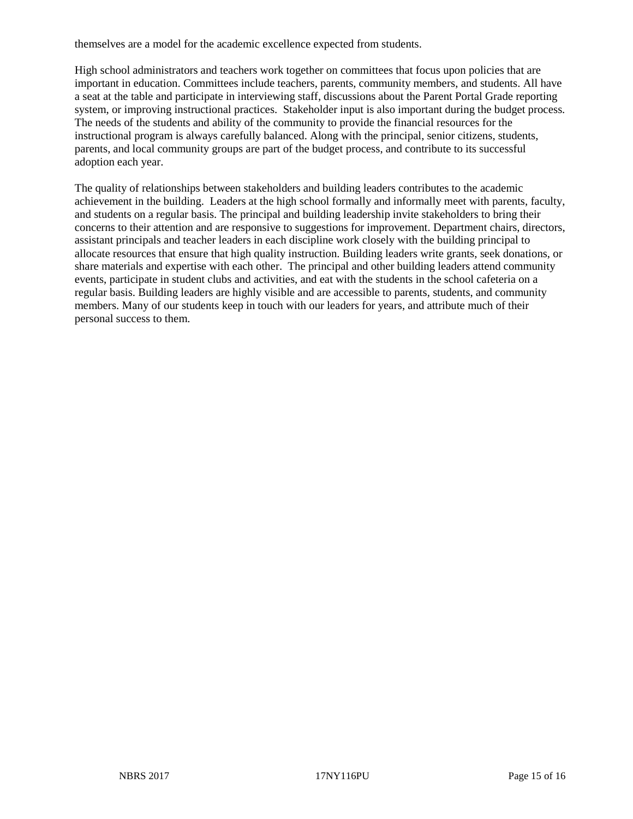themselves are a model for the academic excellence expected from students.

High school administrators and teachers work together on committees that focus upon policies that are important in education. Committees include teachers, parents, community members, and students. All have a seat at the table and participate in interviewing staff, discussions about the Parent Portal Grade reporting system, or improving instructional practices. Stakeholder input is also important during the budget process. The needs of the students and ability of the community to provide the financial resources for the instructional program is always carefully balanced. Along with the principal, senior citizens, students, parents, and local community groups are part of the budget process, and contribute to its successful adoption each year.

The quality of relationships between stakeholders and building leaders contributes to the academic achievement in the building. Leaders at the high school formally and informally meet with parents, faculty, and students on a regular basis. The principal and building leadership invite stakeholders to bring their concerns to their attention and are responsive to suggestions for improvement. Department chairs, directors, assistant principals and teacher leaders in each discipline work closely with the building principal to allocate resources that ensure that high quality instruction. Building leaders write grants, seek donations, or share materials and expertise with each other. The principal and other building leaders attend community events, participate in student clubs and activities, and eat with the students in the school cafeteria on a regular basis. Building leaders are highly visible and are accessible to parents, students, and community members. Many of our students keep in touch with our leaders for years, and attribute much of their personal success to them.